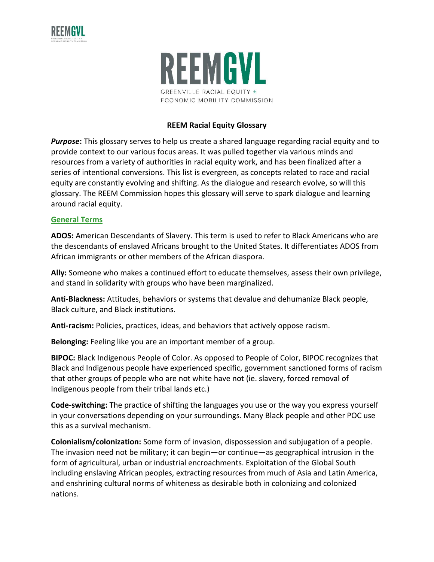



### **REEM Racial Equity Glossary**

*Purpose***:** This glossary serves to help us create a shared language regarding racial equity and to provide context to our various focus areas. It was pulled together via various minds and resources from a variety of authorities in racial equity work, and has been finalized after a series of intentional conversions. This list is evergreen, as concepts related to race and racial equity are constantly evolving and shifting. As the dialogue and research evolve, so will this glossary. The REEM Commission hopes this glossary will serve to spark dialogue and learning around racial equity.

#### **General Terms**

**ADOS:** American Descendants of Slavery. This term is used to refer to Black Americans who are the descendants of enslaved Africans brought to the United States. It differentiates ADOS from African immigrants or other members of the African diaspora.

**Ally:** Someone who makes a continued effort to educate themselves, assess their own privilege, and stand in solidarity with groups who have been marginalized.

**Anti-Blackness:** Attitudes, behaviors or systems that devalue and dehumanize Black people, Black culture, and Black institutions.

**Anti-racism:** Policies, practices, ideas, and behaviors that actively oppose racism.

**Belonging:** Feeling like you are an important member of a group.

**BIPOC:** Black Indigenous People of Color. As opposed to People of Color, BIPOC recognizes that Black and Indigenous people have experienced specific, government sanctioned forms of racism that other groups of people who are not white have not (ie. slavery, forced removal of Indigenous people from their tribal lands etc.)

**Code-switching:** The practice of shifting the languages you use or the way you express yourself in your conversations depending on your surroundings. Many Black people and other POC use this as a survival mechanism.

**Colonialism/colonization:** Some form of invasion, dispossession and subjugation of a people. The invasion need not be military; it can begin—or continue—as geographical intrusion in the form of agricultural, urban or industrial encroachments. Exploitation of the Global South including enslaving African peoples, extracting resources from much of Asia and Latin America, and enshrining cultural norms of whiteness as desirable both in colonizing and colonized nations.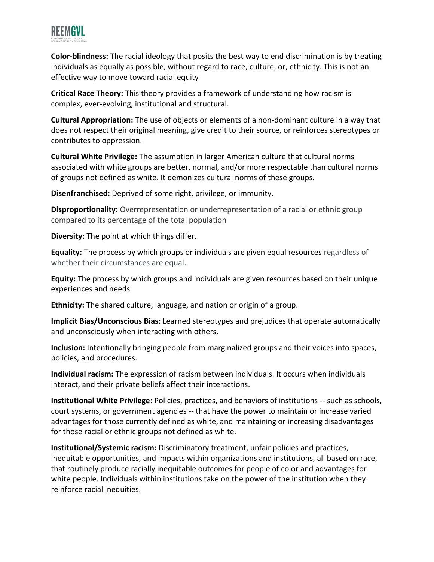

**Color-blindness:** The racial ideology that posits the best way to end discrimination is by treating individuals as equally as possible, without regard to race, culture, or, ethnicity. This is not an effective way to move toward racial equity

**Critical Race Theory:** This theory provides a framework of understanding how racism is complex, ever-evolving, institutional and structural.

**Cultural Appropriation:** The use of objects or elements of a non-dominant culture in a way that does not respect their original meaning, give credit to their source, or reinforces stereotypes or contributes to oppression.

**Cultural White Privilege:** The assumption in larger American culture that cultural norms associated with white groups are better, normal, and/or more respectable than cultural norms of groups not defined as white. It demonizes cultural norms of these groups.

**Disenfranchised:** Deprived of some right, privilege, or immunity.

**Disproportionality:** Overrepresentation or underrepresentation of a racial or ethnic group compared to its percentage of the total population

**Diversity:** The point at which things differ.

**Equality:** The process by which groups or individuals are given equal resources regardless of whether their circumstances are equal.

**Equity:** The process by which groups and individuals are given resources based on their unique experiences and needs.

**Ethnicity:** The shared culture, language, and nation or origin of a group.

**Implicit Bias/Unconscious Bias:** Learned stereotypes and prejudices that operate automatically and unconsciously when interacting with others.

**Inclusion:** Intentionally bringing people from marginalized groups and their voices into spaces, policies, and procedures.

**Individual racism:** The expression of racism between individuals. It occurs when individuals interact, and their private beliefs affect their interactions.

**Institutional White Privilege**: Policies, practices, and behaviors of institutions -- such as schools, court systems, or government agencies -- that have the power to maintain or increase varied advantages for those currently defined as white, and maintaining or increasing disadvantages for those racial or ethnic groups not defined as white.

**Institutional/Systemic racism:** Discriminatory treatment, unfair policies and practices, inequitable opportunities, and impacts within organizations and institutions, all based on race, that routinely produce racially inequitable outcomes for people of color and advantages for white people. Individuals within institutions take on the power of the institution when they reinforce racial inequities.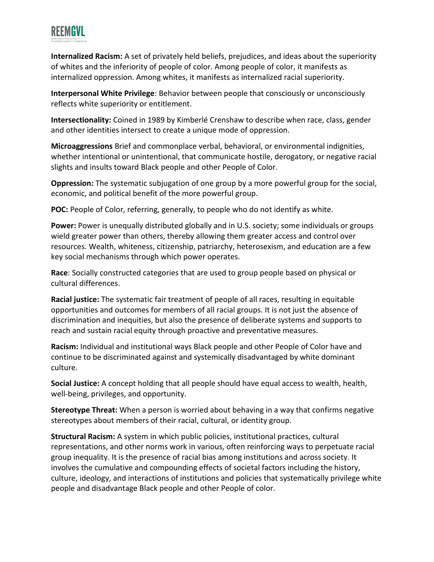

**Internalized Racism:** A set of privately held beliefs, prejudices, and ideas about the superiority of whites and the inferiority of people of color. Among people of color, it manifests as internalized oppression. Among whites, it manifests as internalized racial superiority.

**Interpersonal White Privilege**: Behavior between people that consciously or unconsciously reflects white superiority or entitlement.

**Intersectionality:** Coined in 1989 by Kimberlé Crenshaw to describe when race, class, gender and other identities intersect to create a unique mode of oppression.

**Microaggressions** Brief and commonplace verbal, behavioral, or environmental indignities, whether intentional or unintentional, that communicate hostile, derogatory, or negative racial slights and insults toward Black people and other People of Color.

**Oppression:** The systematic subjugation of one group by a more powerful group for the social, economic, and political benefit of the more powerful group.

**POC:** People of Color, referring, generally, to people who do not identify as white.

**Power:** Power is unequally distributed globally and in U.S. society; some individuals or groups wield greater power than others, thereby allowing them greater access and control over resources. Wealth, whiteness, citizenship, patriarchy, heterosexism, and education are a few key social mechanisms through which power operates.

**Race**: Socially constructed categories that are used to group people based on physical or cultural differences.

**Racial justice:** The systematic fair treatment of people of all races, resulting in equitable opportunities and outcomes for members of all racial groups. It is not just the absence of discrimination and inequities, but also the presence of deliberate systems and supports to reach and sustain racial equity through proactive and preventative measures.

**Racism:** Individual and institutional ways Black people and other People of Color have and continue to be discriminated against and systemically disadvantaged by white dominant culture.

**Social Justice:** A concept holding that all people should have equal access to wealth, health, well-being, privileges, and opportunity.

**Stereotype Threat:** When a person is worried about behaving in a way that confirms negative stereotypes about members of their racial, cultural, or identity group.

**Structural Racism:** A system in which public policies, institutional practices, cultural representations, and other norms work in various, often reinforcing ways to perpetuate racial group inequality. It is the presence of racial bias among institutions and across society. It involves the cumulative and compounding effects of societal factors including the history, culture, ideology, and interactions of institutions and policies that systematically privilege white people and disadvantage Black people and other People of color.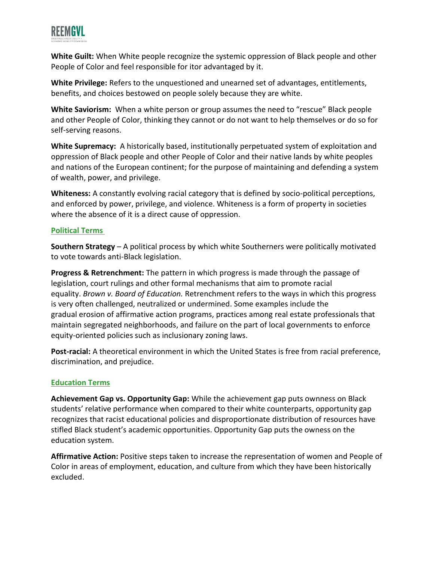

**White Guilt:** When White people recognize the systemic oppression of Black people and other People of Color and feel responsible for itor advantaged by it.

**White Privilege:** Refers to the unquestioned and unearned set of advantages, entitlements, benefits, and choices bestowed on people solely because they are white.

**White Saviorism:** When a white person or group assumes the need to "rescue" Black people and other People of Color, thinking they cannot or do not want to help themselves or do so for self-serving reasons.

**White Supremacy:** A historically based, institutionally perpetuated system of exploitation and oppression of Black people and other People of Color and their native lands by white peoples and nations of the European continent; for the purpose of maintaining and defending a system of wealth, power, and privilege.

**Whiteness:** A constantly evolving racial category that is defined by socio-political perceptions, and enforced by power, privilege, and violence. Whiteness is a form of property in societies where the absence of it is a direct cause of oppression.

# **Political Terms**

**Southern Strategy** – A political process by which white Southerners were politically motivated to vote towards anti-Black legislation.

**Progress & Retrenchment:** The pattern in which progress is made through the passage of legislation, court rulings and other formal mechanisms that aim to promote racial equality. *Brown v. Board of Education.* Retrenchment refers to the ways in which this progress is very often challenged, neutralized or undermined. Some examples include the gradual erosion of affirmative action programs, practices among real estate professionals that maintain segregated neighborhoods, and failure on the part of local governments to enforce equity-oriented policies such as inclusionary zoning laws.

**Post-racial:** A theoretical environment in which the United States is free from racial preference, discrimination, and prejudice.

### **Education Terms**

**Achievement Gap vs. Opportunity Gap:** While the achievement gap puts ownness on Black students' relative performance when compared to their white counterparts, opportunity gap recognizes that racist educational policies and disproportionate distribution of resources have stifled Black student's academic opportunities. Opportunity Gap puts the owness on the education system.

**Affirmative Action:** Positive steps taken to increase the representation of women and People of Color in areas of employment, education, and culture from which they have been historically excluded.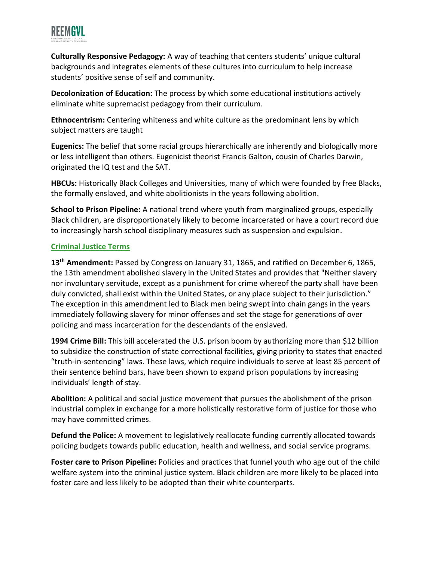

**Culturally Responsive Pedagogy:** A way of teaching that centers students' unique cultural backgrounds and integrates elements of these cultures into curriculum to help increase students' positive sense of self and community.

**Decolonization of Education:** The process by which some educational institutions actively eliminate white supremacist pedagogy from their curriculum.

**Ethnocentrism:** Centering whiteness and white culture as the predominant lens by which subject matters are taught

**Eugenics:** The belief that some racial groups hierarchically are inherently and biologically more or less intelligent than others. Eugenicist theorist Francis Galton, cousin of Charles Darwin, originated the IQ test and the SAT.

**HBCUs:** Historically Black Colleges and Universities, many of which were founded by free Blacks, the formally enslaved, and white abolitionists in the years following abolition.

**School to Prison Pipeline:** A national trend where youth from marginalized groups, especially Black children, are disproportionately likely to become incarcerated or have a court record due to increasingly harsh school disciplinary measures such as suspension and expulsion.

# **Criminal Justice Terms**

**13th Amendment:** Passed by Congress on January 31, 1865, and ratified on December 6, 1865, the 13th amendment abolished slavery in the United States and provides that "Neither slavery nor involuntary servitude, except as a punishment for crime whereof the party shall have been duly convicted, shall exist within the United States, or any place subject to their jurisdiction." The exception in this amendment led to Black men being swept into chain gangs in the years immediately following slavery for minor offenses and set the stage for generations of over policing and mass incarceration for the descendants of the enslaved.

**1994 Crime Bill:** This bill accelerated the U.S. prison boom by authorizing more than \$12 billion to subsidize the construction of state correctional facilities, giving priority to states that enacted "truth-in-sentencing" laws. These laws, which require individuals to serve at least 85 percent of their sentence behind bars, have been shown to expand prison populations by increasing individuals' length of stay.

**Abolition:** A political and social justice movement that pursues the abolishment of the prison industrial complex in exchange for a more holistically restorative form of justice for those who may have committed crimes.

**Defund the Police:** A movement to legislatively reallocate funding currently allocated towards policing budgets towards public education, health and wellness, and social service programs.

**Foster care to Prison Pipeline:** Policies and practices that funnel youth who age out of the child welfare system into the criminal justice system. Black children are more likely to be placed into foster care and less likely to be adopted than their white counterparts.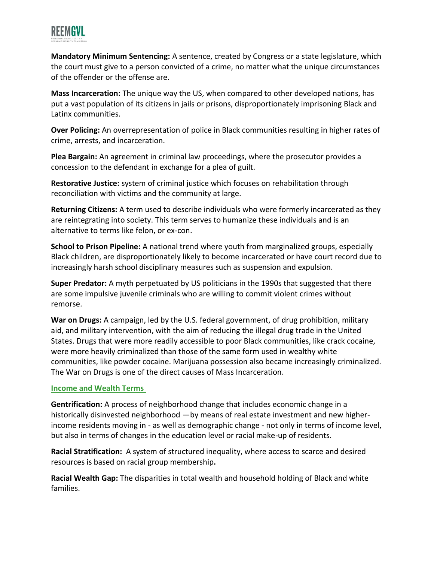

**Mandatory Minimum Sentencing:** A sentence, created by Congress or a state legislature, which the court must give to a person convicted of a crime, no matter what the unique circumstances of the offender or the offense are.

**Mass Incarceration:** The unique way the US, when compared to other developed nations, has put a vast population of its citizens in jails or prisons, disproportionately imprisoning Black and Latinx communities.

**Over Policing:** An overrepresentation of police in Black communities resulting in higher rates of crime, arrests, and incarceration.

**Plea Bargain:** An agreement in criminal law proceedings, where the prosecutor provides a concession to the defendant in exchange for a plea of guilt.

**Restorative Justice:** system of criminal justice which focuses on rehabilitation through reconciliation with victims and the community at large.

**Returning Citizens:** A term used to describe individuals who were formerly incarcerated as they are reintegrating into society. This term serves to humanize these individuals and is an alternative to terms like felon, or ex-con.

**School to Prison Pipeline:** A national trend where youth from marginalized groups, especially Black children, are disproportionately likely to become incarcerated or have court record due to increasingly harsh school disciplinary measures such as suspension and expulsion.

**Super Predator:** A myth perpetuated by US politicians in the 1990s that suggested that there are some impulsive juvenile criminals who are willing to commit violent crimes without remorse.

**War on Drugs:** A campaign, led by the U.S. federal government, of drug prohibition, military aid, and military intervention, with the aim of reducing the illegal drug trade in the United States. Drugs that were more readily accessible to poor Black communities, like crack cocaine, were more heavily criminalized than those of the same form used in wealthy white communities, like powder cocaine. Marijuana possession also became increasingly criminalized. The War on Drugs is one of the direct causes of Mass Incarceration.

### **Income and Wealth Terms**

**Gentrification:** A process of neighborhood change that includes economic change in a historically disinvested neighborhood —by means of real estate investment and new higherincome residents moving in - as well as demographic change - not only in terms of income level, but also in terms of changes in the education level or racial make-up of residents.

**Racial Stratification:** A system of structured inequality, where access to scarce and desired resources is based on racial group membership**.**

**Racial Wealth Gap:** The disparities in total wealth and household holding of Black and white families.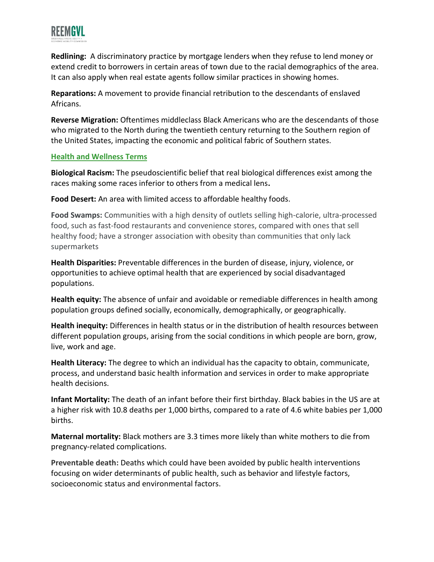

**Redlining:** A discriminatory practice by mortgage lenders when they refuse to lend money or extend credit to borrowers in certain areas of town due to the racial demographics of the area. It can also apply when real estate agents follow similar practices in showing homes.

**Reparations:** A movement to provide financial retribution to the descendants of enslaved Africans.

**Reverse Migration:** Oftentimes middleclass Black Americans who are the descendants of those who migrated to the North during the twentieth century returning to the Southern region of the United States, impacting the economic and political fabric of Southern states.

### **Health and Wellness Terms**

**Biological Racism:** The pseudoscientific belief that real biological differences exist among the races making some races inferior to others from a medical lens**.**

**Food Desert:** An area with limited access to affordable healthy foods.

**Food Swamps:** Communities with a high density of outlets selling high-calorie, ultra-processed food, such as fast-food restaurants and convenience stores, compared with ones that sell healthy food; have a stronger association with obesity than communities that only lack supermarkets

**Health Disparities:** Preventable differences in the burden of disease, injury, violence, or opportunities to achieve optimal health that are experienced by social disadvantaged populations.

**Health equity:** The absence of unfair and avoidable or remediable differences in health among population groups defined socially, economically, demographically, or geographically.

**Health inequity:** Differences in health status or in the distribution of health resources between different population groups, arising from the social conditions in which people are born, grow, live, work and age.

**Health Literacy:** The degree to which an individual has the capacity to obtain, communicate, process, and understand basic health information and services in order to make appropriate health decisions.

**Infant Mortality:** The death of an infant before their first birthday. Black babies in the US are at a higher risk with 10.8 deaths per 1,000 births, compared to a rate of 4.6 white babies per 1,000 births.

**Maternal mortality:** Black mothers are 3.3 times more likely than white mothers to die from pregnancy-related complications.

**Preventable death:** Deaths which could have been avoided by public health interventions focusing on wider determinants of public health, such as behavior and lifestyle factors, socioeconomic status and environmental factors.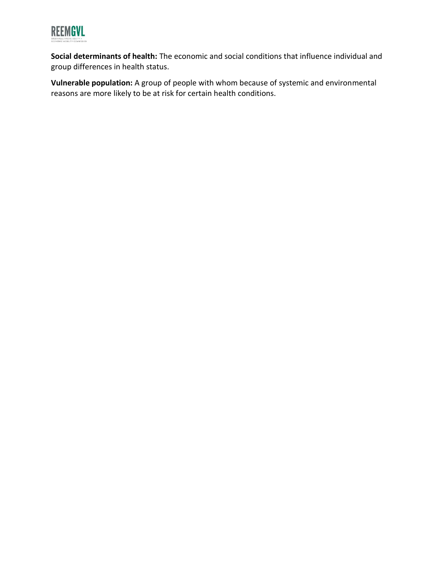

**Social determinants of health:** The economic and social conditions that influence individual and group differences in health status.

**Vulnerable population:** A group of people with whom because of systemic and environmental reasons are more likely to be at risk for certain health conditions.